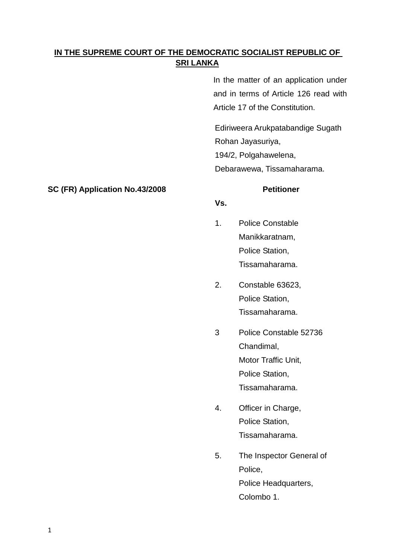# **IN THE SUPREME COURT OF THE DEMOCRATIC SOCIALIST REPUBLIC OF SRI LANKA**

In the matter of an application under and in terms of Article 126 read with Article 17 of the Constitution.

Ediriweera Arukpatabandige Sugath Rohan Jayasuriya, 194/2, Polgahawelena,

Debarawewa, Tissamaharama.

## **Vs.**

- 1. Police Constable Manikkaratnam, Police Station, Tissamaharama.
- 2. Constable 63623, Police Station, Tissamaharama.
- 3 Police Constable 52736 Chandimal, Motor Traffic Unit, Police Station, Tissamaharama.
- 4. Officer in Charge, Police Station, Tissamaharama.
- 5. The Inspector General of Police, Police Headquarters, Colombo 1.

## **SC (FR) Application No.43/2008 Petitioner**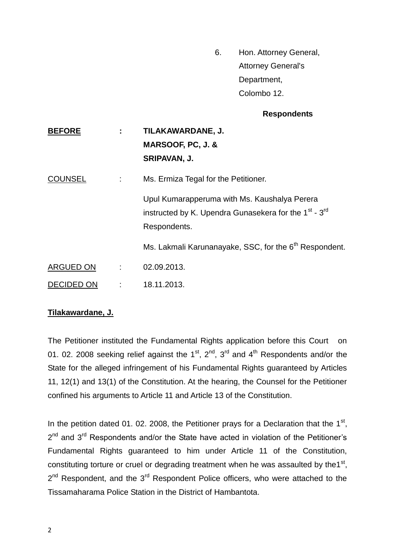6. Hon. Attorney General, Attorney General's Department, Colombo 12.

## **Respondents**

| <b>BEFORE</b>     | ÷ | TILAKAWARDANE, J.<br>MARSOOF, PC, J. &<br>SRIPAVAN, J.                                                                                        |
|-------------------|---|-----------------------------------------------------------------------------------------------------------------------------------------------|
| <b>COUNSEL</b>    | ÷ | Ms. Ermiza Tegal for the Petitioner.                                                                                                          |
|                   |   | Upul Kumarapperuma with Ms. Kaushalya Perera<br>instructed by K. Upendra Gunasekera for the 1 <sup>st</sup> - 3 <sup>rd</sup><br>Respondents. |
|                   |   | Ms. Lakmali Karunanayake, SSC, for the 6 <sup>th</sup> Respondent.                                                                            |
| ARGUED ON         | ÷ | 02.09.2013.                                                                                                                                   |
| <b>DECIDED ON</b> | ÷ | 18.11.2013.                                                                                                                                   |

## **Tilakawardane, J.**

The Petitioner instituted the Fundamental Rights application before this Court on 01. 02. 2008 seeking relief against the  $1^{st}$ ,  $2^{nd}$ ,  $3^{rd}$  and  $4^{th}$  Respondents and/or the State for the alleged infringement of his Fundamental Rights guaranteed by Articles 11, 12(1) and 13(1) of the Constitution. At the hearing, the Counsel for the Petitioner confined his arguments to Article 11 and Article 13 of the Constitution.

In the petition dated 01. 02. 2008, the Petitioner prays for a Declaration that the  $1<sup>st</sup>$ , 2<sup>nd</sup> and 3<sup>rd</sup> Respondents and/or the State have acted in violation of the Petitioner's Fundamental Rights guaranteed to him under Article 11 of the Constitution, constituting torture or cruel or degrading treatment when he was assaulted by the  $1<sup>st</sup>$ , 2<sup>nd</sup> Respondent, and the 3<sup>rd</sup> Respondent Police officers, who were attached to the Tissamaharama Police Station in the District of Hambantota.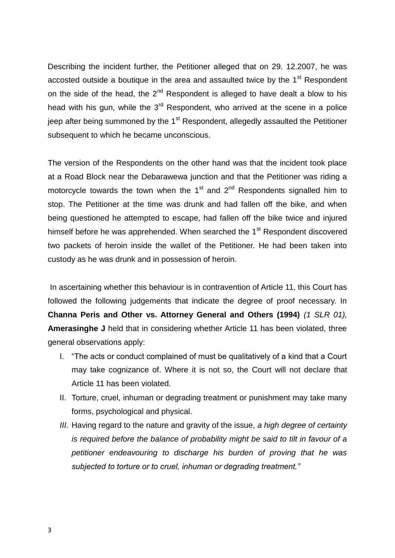Describing the incident further, the Petitioner alleged that on 29. 12.2007, he was accosted outside a boutique in the area and assaulted twice by the  $1<sup>st</sup>$  Respondent on the side of the head, the  $2<sup>nd</sup>$  Respondent is alleged to have dealt a blow to his head with his gun, while the  $3<sup>rd</sup>$  Respondent, who arrived at the scene in a police jeep after being summoned by the  $1<sup>st</sup>$  Respondent, allegedly assaulted the Petitioner subsequent to which he became unconscious.

The version of the Respondents on the other hand was that the incident took place at a Road Block near the Debarawewa junction and that the Petitioner was riding a motorcycle towards the town when the  $1<sup>st</sup>$  and  $2<sup>nd</sup>$  Respondents signalled him to stop. The Petitioner at the time was drunk and had fallen off the bike, and when being questioned he attempted to escape, had fallen off the bike twice and injured himself before he was apprehended. When searched the 1<sup>st</sup> Respondent discovered two packets of heroin inside the wallet of the Petitioner. He had been taken into custody as he was drunk and in possession of heroin.

In ascertaining whether this behaviour is in contravention of Article 11, this Court has followed the following judgements that indicate the degree of proof necessary. In **Channa Peris and Other vs. Attorney General and Others (1994)** *(1 SLR 01),* **Amerasinghe J** held that in considering whether Article 11 has been violated, three general observations apply:

- I. "The acts or conduct complained of must be qualitatively of a kind that a Court may take cognizance of. Where it is not so, the Court will not declare that Article 11 has been violated.
- II. Torture, cruel, inhuman or degrading treatment or punishment may take many forms, psychological and physical.
- *III.* Having regard to the nature and gravity of the issue, *a high degree of certainty is required before the balance of probability might be said to tilt in favour of a petitioner endeavouring to discharge his burden of proving that he was subjected to torture or to cruel, inhuman or degrading treatment."*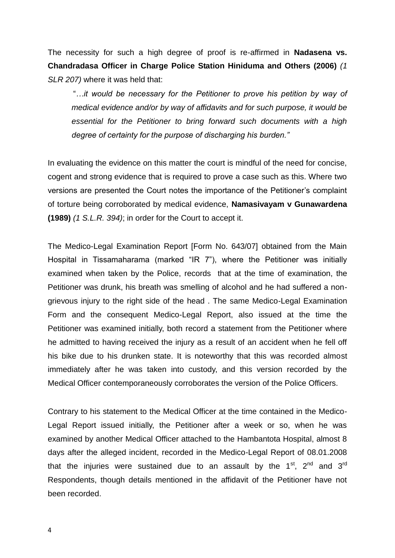The necessity for such a high degree of proof is re-affirmed in **Nadasena vs. Chandradasa Officer in Charge Police Station Hiniduma and Others (2006)** *(1 SLR 207)* where it was held that:

"*…it would be necessary for the Petitioner to prove his petition by way of medical evidence and/or by way of affidavits and for such purpose, it would be essential for the Petitioner to bring forward such documents with a high degree of certainty for the purpose of discharging his burden."*

In evaluating the evidence on this matter the court is mindful of the need for concise, cogent and strong evidence that is required to prove a case such as this. Where two versions are presented the Court notes the importance of the Petitioner"s complaint of torture being corroborated by medical evidence, **Namasivayam v Gunawardena (1989)** *(1 S.L.R. 394)*; in order for the Court to accept it.

The Medico-Legal Examination Report [Form No. 643/07] obtained from the Main Hospital in Tissamaharama (marked "IR 7"), where the Petitioner was initially examined when taken by the Police, records that at the time of examination, the Petitioner was drunk, his breath was smelling of alcohol and he had suffered a nongrievous injury to the right side of the head . The same Medico-Legal Examination Form and the consequent Medico-Legal Report, also issued at the time the Petitioner was examined initially, both record a statement from the Petitioner where he admitted to having received the injury as a result of an accident when he fell off his bike due to his drunken state. It is noteworthy that this was recorded almost immediately after he was taken into custody, and this version recorded by the Medical Officer contemporaneously corroborates the version of the Police Officers.

Contrary to his statement to the Medical Officer at the time contained in the Medico-Legal Report issued initially, the Petitioner after a week or so, when he was examined by another Medical Officer attached to the Hambantota Hospital, almost 8 days after the alleged incident, recorded in the Medico-Legal Report of 08.01.2008 that the injuries were sustained due to an assault by the  $1<sup>st</sup>$ ,  $2<sup>nd</sup>$  and  $3<sup>rd</sup>$ Respondents, though details mentioned in the affidavit of the Petitioner have not been recorded.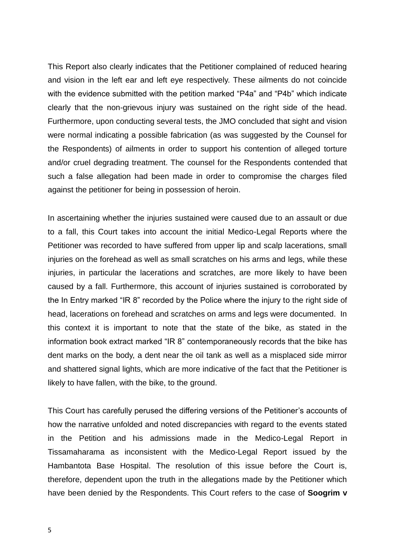This Report also clearly indicates that the Petitioner complained of reduced hearing and vision in the left ear and left eye respectively. These ailments do not coincide with the evidence submitted with the petition marked "P4a" and "P4b" which indicate clearly that the non-grievous injury was sustained on the right side of the head. Furthermore, upon conducting several tests, the JMO concluded that sight and vision were normal indicating a possible fabrication (as was suggested by the Counsel for the Respondents) of ailments in order to support his contention of alleged torture and/or cruel degrading treatment. The counsel for the Respondents contended that such a false allegation had been made in order to compromise the charges filed against the petitioner for being in possession of heroin.

In ascertaining whether the injuries sustained were caused due to an assault or due to a fall, this Court takes into account the initial Medico-Legal Reports where the Petitioner was recorded to have suffered from upper lip and scalp lacerations, small injuries on the forehead as well as small scratches on his arms and legs, while these injuries, in particular the lacerations and scratches, are more likely to have been caused by a fall. Furthermore, this account of injuries sustained is corroborated by the In Entry marked "IR 8" recorded by the Police where the injury to the right side of head, lacerations on forehead and scratches on arms and legs were documented. In this context it is important to note that the state of the bike, as stated in the information book extract marked "IR 8" contemporaneously records that the bike has dent marks on the body, a dent near the oil tank as well as a misplaced side mirror and shattered signal lights, which are more indicative of the fact that the Petitioner is likely to have fallen, with the bike, to the ground.

This Court has carefully perused the differing versions of the Petitioner"s accounts of how the narrative unfolded and noted discrepancies with regard to the events stated in the Petition and his admissions made in the Medico-Legal Report in Tissamaharama as inconsistent with the Medico-Legal Report issued by the Hambantota Base Hospital. The resolution of this issue before the Court is, therefore, dependent upon the truth in the allegations made by the Petitioner which have been denied by the Respondents. This Court refers to the case of **Soogrim v**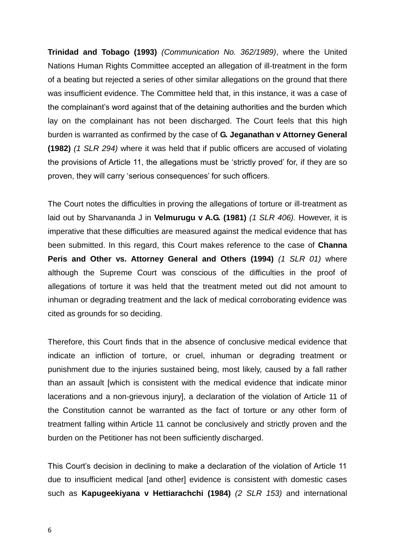**Trinidad and Tobago (1993)** *(Communication No. 362/1989)*, where the United Nations Human Rights Committee accepted an allegation of ill-treatment in the form of a beating but rejected a series of other similar allegations on the ground that there was insufficient evidence. The Committee held that, in this instance, it was a case of the complainant"s word against that of the detaining authorities and the burden which lay on the complainant has not been discharged. The Court feels that this high burden is warranted as confirmed by the case of **G. Jeganathan v Attorney General (1982)** *(1 SLR 294)* where it was held that if public officers are accused of violating the provisions of Article 11, the allegations must be "strictly proved" for, if they are so proven, they will carry 'serious consequences' for such officers.

The Court notes the difficulties in proving the allegations of torture or ill-treatment as laid out by Sharvananda J in **Velmurugu v A.G. (1981)** *(1 SLR 406).* However, it is imperative that these difficulties are measured against the medical evidence that has been submitted. In this regard, this Court makes reference to the case of **Channa Peris and Other vs. Attorney General and Others (1994)** *(1 SLR 01)* where although the Supreme Court was conscious of the difficulties in the proof of allegations of torture it was held that the treatment meted out did not amount to inhuman or degrading treatment and the lack of medical corroborating evidence was cited as grounds for so deciding.

Therefore, this Court finds that in the absence of conclusive medical evidence that indicate an infliction of torture, or cruel, inhuman or degrading treatment or punishment due to the injuries sustained being, most likely, caused by a fall rather than an assault [which is consistent with the medical evidence that indicate minor lacerations and a non-grievous injury], a declaration of the violation of Article 11 of the Constitution cannot be warranted as the fact of torture or any other form of treatment falling within Article 11 cannot be conclusively and strictly proven and the burden on the Petitioner has not been sufficiently discharged.

This Court's decision in declining to make a declaration of the violation of Article 11 due to insufficient medical [and other] evidence is consistent with domestic cases such as **Kapugeekiyana v Hettiarachchi (1984)** *(2 SLR 153)* and international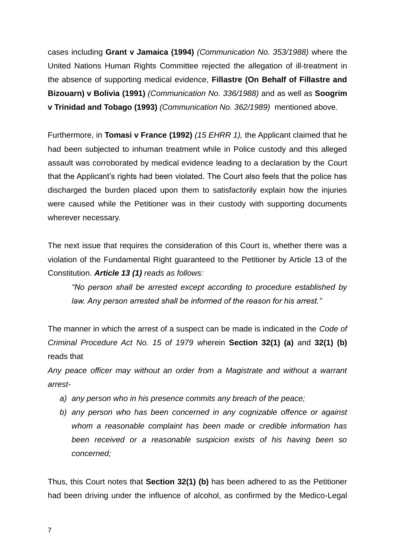cases including **Grant v Jamaica (1994)** *(Communication No. 353/1988)* where the United Nations Human Rights Committee rejected the allegation of ill-treatment in the absence of supporting medical evidence, **Fillastre (On Behalf of Fillastre and Bizouarn) v Bolivia (1991)** *(Communication No. 336/1988)* and as well as **Soogrim v Trinidad and Tobago (1993)** *(Communication No. 362/1989)* mentioned above.

Furthermore, in **Tomasi v France (1992)** *(15 EHRR 1),* the Applicant claimed that he had been subjected to inhuman treatment while in Police custody and this alleged assault was corroborated by medical evidence leading to a declaration by the Court that the Applicant"s rights had been violated. The Court also feels that the police has discharged the burden placed upon them to satisfactorily explain how the injuries were caused while the Petitioner was in their custody with supporting documents wherever necessary.

The next issue that requires the consideration of this Court is, whether there was a violation of the Fundamental Right guaranteed to the Petitioner by Article 13 of the Constitution. *Article 13 (1) reads as follows:*

*"No person shall be arrested except according to procedure established by law. Any person arrested shall be informed of the reason for his arrest."*

The manner in which the arrest of a suspect can be made is indicated in the *Code of Criminal Procedure Act No. 15 of 1979* wherein **Section 32(1) (a)** and **32(1) (b)** reads that

*Any peace officer may without an order from a Magistrate and without a warrant arrest-*

- *a) any person who in his presence commits any breach of the peace;*
- *b) any person who has been concerned in any cognizable offence or against whom a reasonable complaint has been made or credible information has been received or a reasonable suspicion exists of his having been so concerned;*

Thus, this Court notes that **Section 32(1) (b)** has been adhered to as the Petitioner had been driving under the influence of alcohol, as confirmed by the Medico-Legal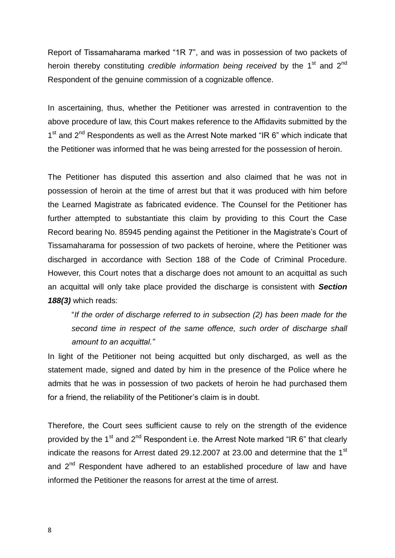Report of Tissamaharama marked "1R 7", and was in possession of two packets of heroin thereby constituting *credible information being received* by the 1<sup>st</sup> and 2<sup>nd</sup> Respondent of the genuine commission of a cognizable offence.

In ascertaining, thus, whether the Petitioner was arrested in contravention to the above procedure of law, this Court makes reference to the Affidavits submitted by the 1<sup>st</sup> and 2<sup>nd</sup> Respondents as well as the Arrest Note marked "IR 6" which indicate that the Petitioner was informed that he was being arrested for the possession of heroin.

The Petitioner has disputed this assertion and also claimed that he was not in possession of heroin at the time of arrest but that it was produced with him before the Learned Magistrate as fabricated evidence. The Counsel for the Petitioner has further attempted to substantiate this claim by providing to this Court the Case Record bearing No. 85945 pending against the Petitioner in the Magistrate's Court of Tissamaharama for possession of two packets of heroine, where the Petitioner was discharged in accordance with Section 188 of the Code of Criminal Procedure. However, this Court notes that a discharge does not amount to an acquittal as such an acquittal will only take place provided the discharge is consistent with *Section 188(3)* which reads:

"*If the order of discharge referred to in subsection (2) has been made for the second time in respect of the same offence, such order of discharge shall amount to an acquittal."*

In light of the Petitioner not being acquitted but only discharged, as well as the statement made, signed and dated by him in the presence of the Police where he admits that he was in possession of two packets of heroin he had purchased them for a friend, the reliability of the Petitioner's claim is in doubt.

Therefore, the Court sees sufficient cause to rely on the strength of the evidence provided by the 1<sup>st</sup> and 2<sup>nd</sup> Respondent i.e. the Arrest Note marked "IR 6" that clearly indicate the reasons for Arrest dated 29.12.2007 at 23.00 and determine that the 1 $^{\rm st}$ and 2<sup>nd</sup> Respondent have adhered to an established procedure of law and have informed the Petitioner the reasons for arrest at the time of arrest.